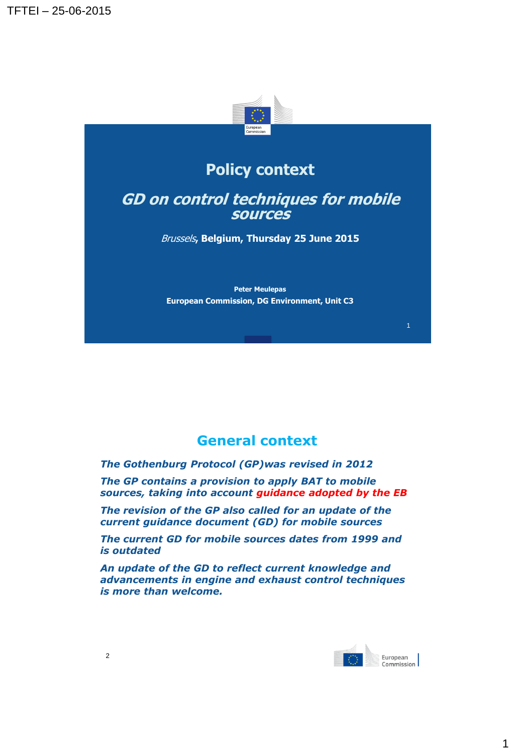

# **Policy context**

#### **GD on control techniques for mobile sources**

Brussels**, Belgium, Thursday 25 June 2015**

**Peter Meulepas European Commission, DG Environment, Unit C3**

## **General context**

*The Gothenburg Protocol (GP)was revised in 2012*

*The GP contains a provision to apply BAT to mobile sources, taking into account guidance adopted by the EB*

*The revision of the GP also called for an update of the current guidance document (GD) for mobile sources*

*The current GD for mobile sources dates from 1999 and is outdated*

*An update of the GD to reflect current knowledge and advancements in engine and exhaust control techniques is more than welcome.*



1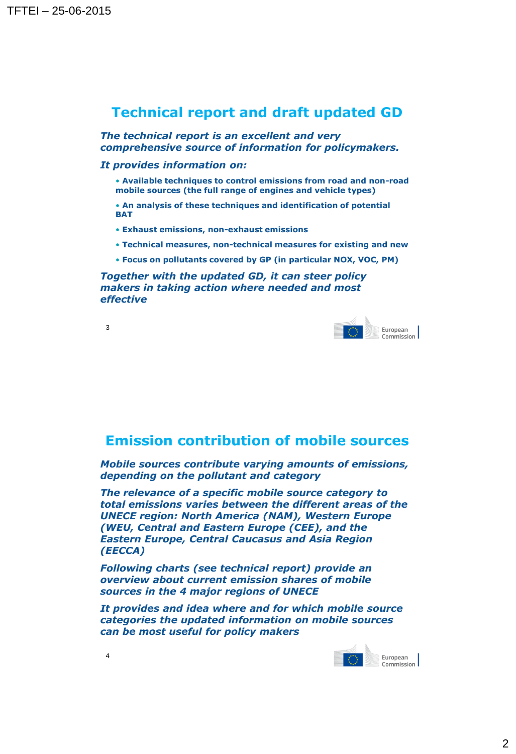### **Technical report and draft updated GD**

*The technical report is an excellent and very comprehensive source of information for policymakers.*

#### *It provides information on:*

- **Available techniques to control emissions from road and non-road mobile sources (the full range of engines and vehicle types)**
- **An analysis of these techniques and identification of potential BAT**
- **Exhaust emissions, non-exhaust emissions**
- **Technical measures, non-technical measures for existing and new**
- **Focus on pollutants covered by GP (in particular NOX, VOC, PM)**

*Together with the updated GD, it can steer policy makers in taking action where needed and most effective*





#### **Emission contribution of mobile sources**

*Mobile sources contribute varying amounts of emissions, depending on the pollutant and category*

*The relevance of a specific mobile source category to total emissions varies between the different areas of the UNECE region: North America (NAM), Western Europe (WEU, Central and Eastern Europe (CEE), and the Eastern Europe, Central Caucasus and Asia Region (EECCA)*

*Following charts (see technical report) provide an overview about current emission shares of mobile sources in the 4 major regions of UNECE*

*It provides and idea where and for which mobile source categories the updated information on mobile sources can be most useful for policy makers*



4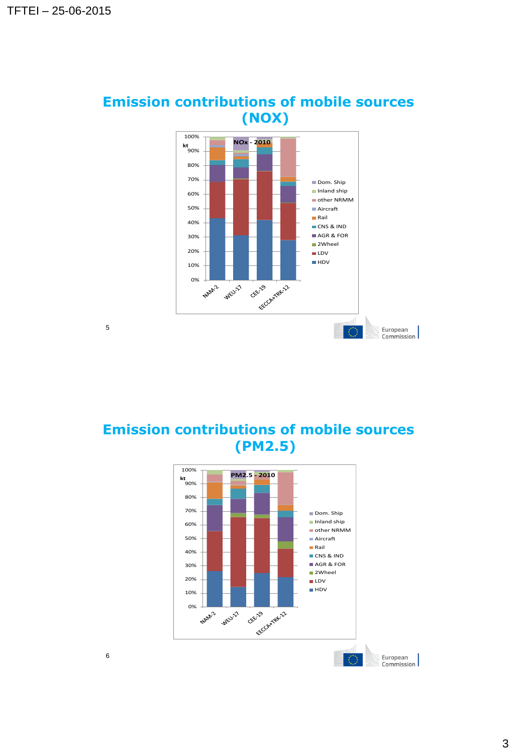

# **Emission contributions of mobile sources (NOX)**

**Emission contributions of mobile sources (PM2.5)**



5

3